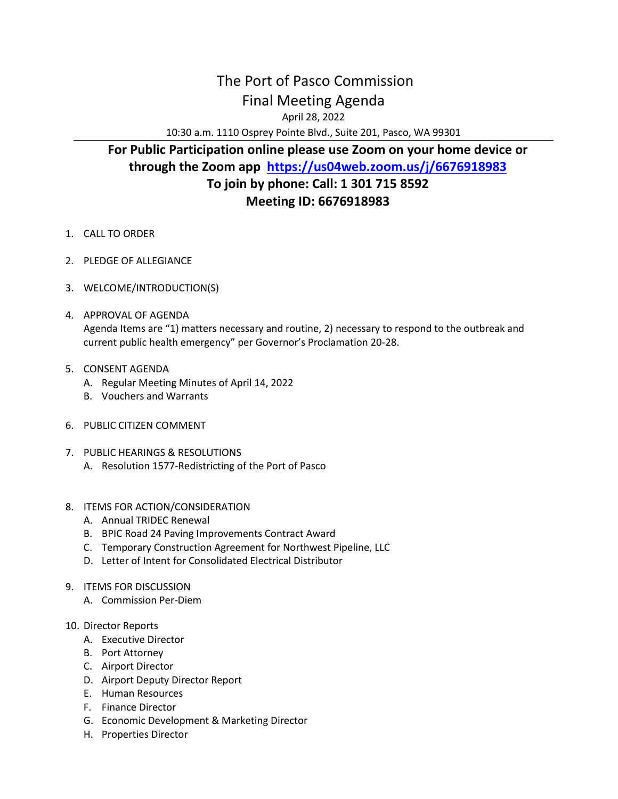## The Port of Pasco Commission Final Meeting Agenda

April 28, 2022

10:30 a.m. 1110 Osprey Pointe Blvd., Suite 201, Pasco, WA 99301

## **For Public Participation online please use Zoom on your home device or through the Zoom app <https://us04web.zoom.us/j/6676918983> To join by phone: Call: 1 301 715 8592 Meeting ID: 6676918983**

- 1. CALL TO ORDER
- 2. PLEDGE OF ALLEGIANCE
- 3. WELCOME/INTRODUCTION(S)
- 4. APPROVAL OF AGENDA Agenda Items are "1) matters necessary and routine, 2) necessary to respond to the outbreak and current public health emergency" per Governor's Proclamation 20-28.
- 5. CONSENT AGENDA
	- A. Regular Meeting Minutes of April 14, 2022
	- B. Vouchers and Warrants
- 6. PUBLIC CITIZEN COMMENT
- 7. PUBLIC HEARINGS & RESOLUTIONS
	- A. Resolution 1577-Redistricting of the Port of Pasco
- 8. ITEMS FOR ACTION/CONSIDERATION
	- A. Annual TRIDEC Renewal
	- B. BPIC Road 24 Paving Improvements Contract Award
	- C. Temporary Construction Agreement for Northwest Pipeline, LLC
	- D. Letter of Intent for Consolidated Electrical Distributor
- 9. ITEMS FOR DISCUSSION
	- A. Commission Per-Diem
- 10. Director Reports
	- A. Executive Director
	- B. Port Attorney
	- C. Airport Director
	- D. Airport Deputy Director Report
	- E. Human Resources
	- F. Finance Director
	- G. Economic Development & Marketing Director
	- H. Properties Director